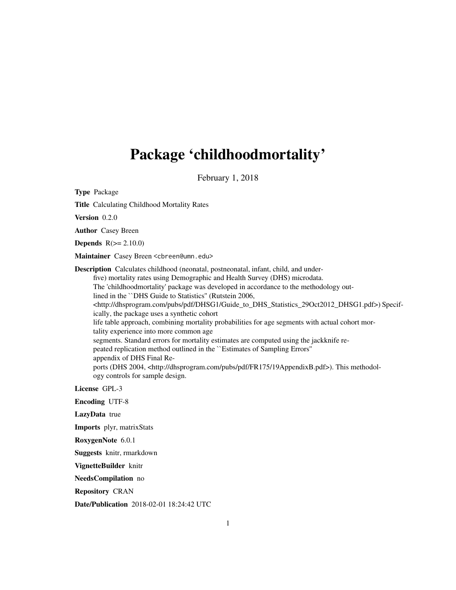## Package 'childhoodmortality'

February 1, 2018

Type Package

Title Calculating Childhood Mortality Rates

Version 0.2.0

Author Casey Breen

**Depends**  $R(>= 2.10.0)$ 

Maintainer Casey Breen <cbreen@umn.edu>

Description Calculates childhood (neonatal, postneonatal, infant, child, and underfive) mortality rates using Demographic and Health Survey (DHS) microdata. The 'childhoodmortality' package was developed in accordance to the methodology outlined in the ``DHS Guide to Statistics'' (Rutstein 2006, <http://dhsprogram.com/pubs/pdf/DHSG1/Guide\_to\_DHS\_Statistics\_29Oct2012\_DHSG1.pdf>) Specifically, the package uses a synthetic cohort life table approach, combining mortality probabilities for age segments with actual cohort mortality experience into more common age segments. Standard errors for mortality estimates are computed using the jackknife repeated replication method outlined in the ``Estimates of Sampling Errors'' appendix of DHS Final Reports (DHS 2004, <http://dhsprogram.com/pubs/pdf/FR175/19AppendixB.pdf>). This methodology controls for sample design.

License GPL-3

Encoding UTF-8

LazyData true

Imports plyr, matrixStats

RoxygenNote 6.0.1

Suggests knitr, rmarkdown

VignetteBuilder knitr

NeedsCompilation no

Repository CRAN

Date/Publication 2018-02-01 18:24:42 UTC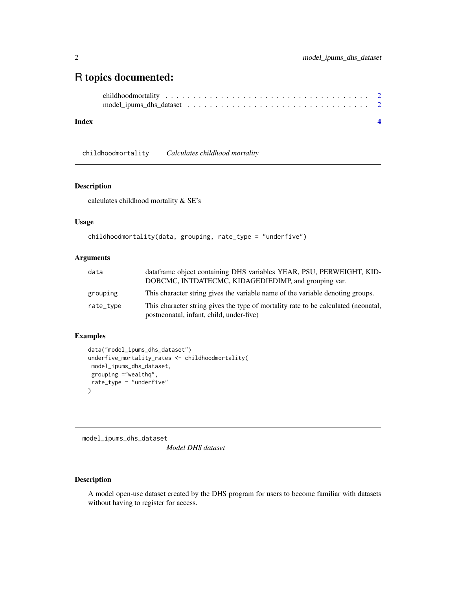### <span id="page-1-0"></span>R topics documented:

#### **Index** [4](#page-3-0)

childhoodmortality *Calculates childhood mortality*

#### Description

calculates childhood mortality & SE's

#### Usage

```
childhoodmortality(data, grouping, rate_type = "underfive")
```
#### Arguments

| data      | dataframe object containing DHS variables YEAR, PSU, PERWEIGHT, KID-<br>DOBCMC, INTDATECMC, KIDAGEDIEDIMP, and grouping var.   |
|-----------|--------------------------------------------------------------------------------------------------------------------------------|
| grouping  | This character string gives the variable name of the variable denoting groups.                                                 |
| rate_type | This character string gives the type of mortality rate to be calculated (neonatal,<br>postneonatal, infant, child, under-five) |

#### Examples

```
data("model_ipums_dhs_dataset")
underfive_mortality_rates <- childhoodmortality(
model_ipums_dhs_dataset,
grouping ="wealthq",
rate_type = "underfive"
)
```
model\_ipums\_dhs\_dataset

*Model DHS dataset*

#### Description

A model open-use dataset created by the DHS program for users to become familiar with datasets without having to register for access.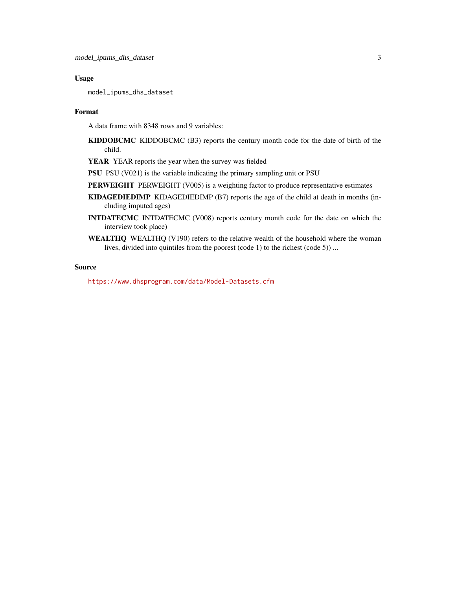#### Usage

model\_ipums\_dhs\_dataset

#### Format

A data frame with 8348 rows and 9 variables:

- KIDDOBCMC KIDDOBCMC (B3) reports the century month code for the date of birth of the child.
- YEAR YEAR reports the year when the survey was fielded
- PSU PSU (V021) is the variable indicating the primary sampling unit or PSU
- PERWEIGHT PERWEIGHT (V005) is a weighting factor to produce representative estimates
- KIDAGEDIEDIMP KIDAGEDIEDIMP (B7) reports the age of the child at death in months (including imputed ages)
- INTDATECMC INTDATECMC (V008) reports century month code for the date on which the interview took place)
- WEALTHQ WEALTHQ (V190) refers to the relative wealth of the household where the woman lives, divided into quintiles from the poorest (code 1) to the richest (code 5)) ...

#### Source

<https://www.dhsprogram.com/data/Model-Datasets.cfm>